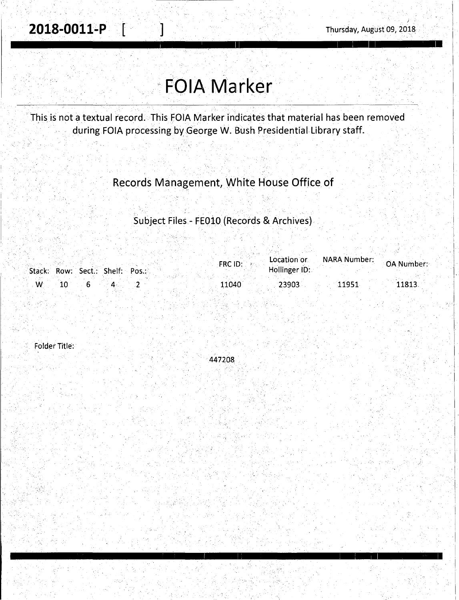# **FOIA Marker**

This is not a textual record. This FOIA Marker indicates that material has been removed during FOIA processing by George W. Bush Presidential Library staff.

### Records Management, White House Office of

#### Subject Files - FE010 (Records & Archives)

|   | Stack: Row: Sect.: Shelf: Pos.: | FRC ID: | Location or<br>Hollinger ID: | <b>NARA Number:</b> | OA Number: |
|---|---------------------------------|---------|------------------------------|---------------------|------------|
| W |                                 | 11040   | 23903                        | 11951               | 11813      |

Folder Title:

447208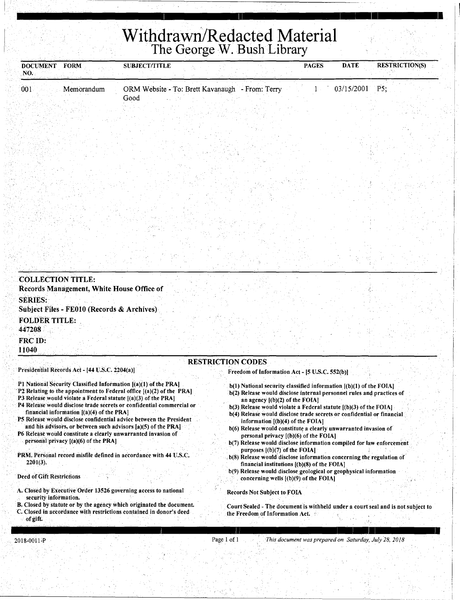# **Withdrawn/Redacted Material**

<u>I 11 januari 11 maart - Januari 11 maart - Januari 11 maart - Januari 11 maart - Januari 11 maart - Januari 1</u>

| <b>DOCUMENT</b><br>NO.   | <b>FORM</b>                                    | <b>SUBJECT/TITLE</b>                                            |                          |                                                                    | <b>PAGES</b> | <b>DATE</b> | <b>RESTRICTION(S)</b> |
|--------------------------|------------------------------------------------|-----------------------------------------------------------------|--------------------------|--------------------------------------------------------------------|--------------|-------------|-----------------------|
| 001                      | Memorandum                                     | ORM Website - To: Brett Kavanaugh - From: Terry                 |                          |                                                                    |              | 03/15/2001  | P5                    |
|                          |                                                | Good                                                            |                          |                                                                    |              |             |                       |
|                          |                                                |                                                                 |                          |                                                                    |              |             |                       |
|                          |                                                |                                                                 |                          |                                                                    |              |             |                       |
|                          |                                                |                                                                 |                          |                                                                    |              |             |                       |
|                          |                                                |                                                                 |                          |                                                                    |              |             |                       |
|                          |                                                |                                                                 |                          |                                                                    |              |             |                       |
|                          |                                                |                                                                 |                          |                                                                    |              |             |                       |
|                          |                                                |                                                                 |                          |                                                                    |              |             |                       |
|                          |                                                |                                                                 |                          |                                                                    |              |             |                       |
|                          |                                                |                                                                 |                          |                                                                    |              |             |                       |
|                          |                                                |                                                                 |                          |                                                                    |              |             |                       |
|                          |                                                |                                                                 |                          |                                                                    |              |             |                       |
|                          |                                                |                                                                 |                          |                                                                    |              |             |                       |
|                          |                                                |                                                                 |                          |                                                                    |              |             |                       |
|                          |                                                |                                                                 |                          |                                                                    |              |             |                       |
| <b>COLLECTION TITLE:</b> | Records Management, White House Office of      |                                                                 |                          |                                                                    |              |             |                       |
| <b>SERIES:</b>           |                                                |                                                                 |                          |                                                                    |              |             |                       |
|                          | Subject Files - FE010 (Records & Archives)     |                                                                 |                          |                                                                    |              |             |                       |
| <b>FOLDER TITLE:</b>     |                                                |                                                                 |                          |                                                                    |              |             |                       |
| 447208                   |                                                |                                                                 |                          |                                                                    |              |             |                       |
| FRC ID:                  |                                                |                                                                 |                          |                                                                    |              |             |                       |
| 11040                    |                                                |                                                                 |                          |                                                                    |              |             |                       |
|                          | Presidential Records Act - [44 U.S.C. 2204(a)] |                                                                 | <b>RESTRICTION CODES</b> | Freedom of Information Act - [5 U.S.C. 552(b)]                     |              |             |                       |
|                          |                                                |                                                                 |                          |                                                                    |              |             |                       |
|                          |                                                | P1 National Security Classified Information [(a)(1) of the PRA] |                          | b(1) National security classified information [(b)(1) of the FOIA] |              |             |                       |

- financial information ((a)(4) of the PRA] PS Release would disclose confidential advice between the President
- and his advisors, or between such advisors  $[a)(5)$  of the PRA] P6 Release would constitute a clearly unwarranted invasion of
- personal privacy ((a)(6) of the PRA]
- PRM. Personal record misfile defined in accordance with 44 U.S.C. 2201(3).

#### Deed of Gift Restrictions

- A. Closed by Executive Order 13526 governing access to national security information.
- B. Closed by statute or by the agency which originated the document. C. Closed in accordance with restrictions contained in donor's deed
- of giff;

in a comparative control of the comparative control of the comparative control of the comparative control of t<br>In the comparative control of the comparative control of the comparative control of the comparative control of

CourtSealed - The document is withheld under a court seal and is not subject to

b(4) Release would disclose trade secrets or confidential or financial

b(7) Release would disclose information compiled for law enforcement

b(8) Release would disclose information concerning the regulation of

b(9) Release would disclose geological or geophysical information

b(6) Release would constitute a clearly unwarranted invasion of

information [(b)(4) of the FOIA]

purposes [(b)(7) of the FOIA]

Records Not Subject to FOIA

the Freedom of Information Act.

personal privacy [(b)(6) of the FOIA]

financial institutions [(b)(8) of the FOIA]

. concerning wells [(b)(9) of the FOIA]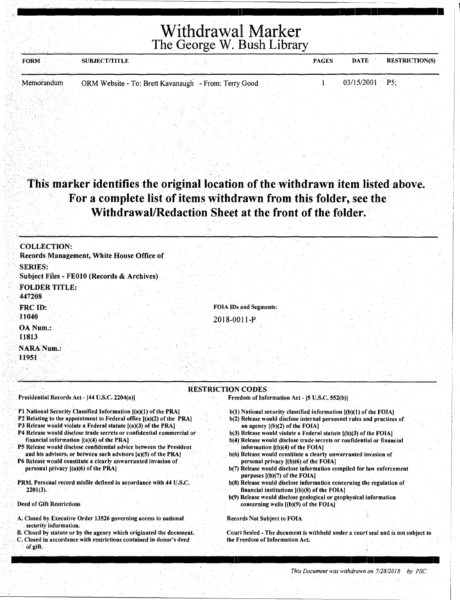Withdrawal Marker The George W. Bush Library

| <b>FORM</b> | <b>SUBJECT/TITLE</b> |                                                      |  | <b>PAGES</b> | <b>DATE</b>      | <b>RESTRICTION(S)</b> |  |
|-------------|----------------------|------------------------------------------------------|--|--------------|------------------|-----------------------|--|
|             |                      |                                                      |  |              |                  |                       |  |
| Memorandum  |                      | ORM Website - To: Brett Kavanaugh - From: Terry Good |  |              | $03/15/2001$ P5: |                       |  |

#### . This marker identifies the original location of the withdrawn item listed above. For a complete list of items withdrawn from this folder, see the Withdrawal/Redaction Sheet at the front of the folder.

| <b>COLLECTION:</b>                                                                                                                             |                                                                                                          |
|------------------------------------------------------------------------------------------------------------------------------------------------|----------------------------------------------------------------------------------------------------------|
| Records Management, White House Office of                                                                                                      |                                                                                                          |
| <b>SERIES:</b>                                                                                                                                 |                                                                                                          |
| Subject Files - FE010 (Records & Archives)                                                                                                     |                                                                                                          |
| <b>FOLDER TITLE:</b>                                                                                                                           |                                                                                                          |
| 447208                                                                                                                                         |                                                                                                          |
| FRC ID:                                                                                                                                        | <b>FOIA IDs and Segments:</b>                                                                            |
| 11040                                                                                                                                          | 2018-0011-P                                                                                              |
| OA Num.:                                                                                                                                       |                                                                                                          |
| 11813                                                                                                                                          |                                                                                                          |
| <b>NARA Num.:</b>                                                                                                                              |                                                                                                          |
| 11951                                                                                                                                          |                                                                                                          |
|                                                                                                                                                |                                                                                                          |
|                                                                                                                                                |                                                                                                          |
|                                                                                                                                                | <b>RESTRICTION CODES</b>                                                                                 |
| Presidential Records Act - [44 U.S.C. 2204(a)]                                                                                                 | Freedom of Information Act - [5 U.S.C. 552(b)]                                                           |
| P1 National Security Classified Information [(a)(1) of the PRA]                                                                                | b(1) National security classified information [(b)(1) of the FOIA]                                       |
| P2 Relating to the appointment to Federal office [(a)(2) of the PRA]                                                                           | b(2) Release would disclose internal personnel rules and practices of                                    |
| <b>P3 Release would violate a Federal statute [(a)(3) of the PRA]</b><br>P4 Release would disclose trade secrets or confidential commercial or | an agency $[(b)(2)$ of the FOIA].<br>b(3) Release would violate a Federal statute [(b)(3) of the FOIA]   |
| financial information $[(a)(4)$ of the PRA]                                                                                                    | b(4) Release would disclose trade secrets or confidential or financial                                   |
| P5 Release would disclose confidential advice between the President                                                                            | information $(1)(4)$ of the FOIA.                                                                        |
| and his advisors, or between such advisors [a)(5) of the PRA]<br>P6 Release would constitute a clearly unwarranted invasion of                 | b(6) Release would constitute a clearly unwarranted invasion of<br>personal privacy {(b)(6) of the FOIA] |
| personal privacy [(a)(6) of the PRA]                                                                                                           | b(7) Release would disclose information compiled for law enforcement                                     |
|                                                                                                                                                | purposes [(b)(7) of the FOIA]                                                                            |

PRM. Personal record misfile defined in accordance with 44 U.S.C.  $2201(3)$ .

Deed of Gift Restrictions

- A. Closed by Executive Order 13526 governing access to national . security information.
- B. Closed by statute or by the agency which originated the document. . C. Closed hi accordance with restrictions contained in donor's deed or gift.

*This Document was withdrawn on 7/28/2018 by PSC* 

b(8) Release would disclose information concerning the regulation of

Court Sealed - The document is withheld under a court seal and is not subject to

b(9) Release would disclose geological or geophysical information

financial institutions [(b)(8) of the FOIA)

concerning wells [(b)(9) of the FOIA]

Records Not Subject to FOIA

the Freedom of Information Act.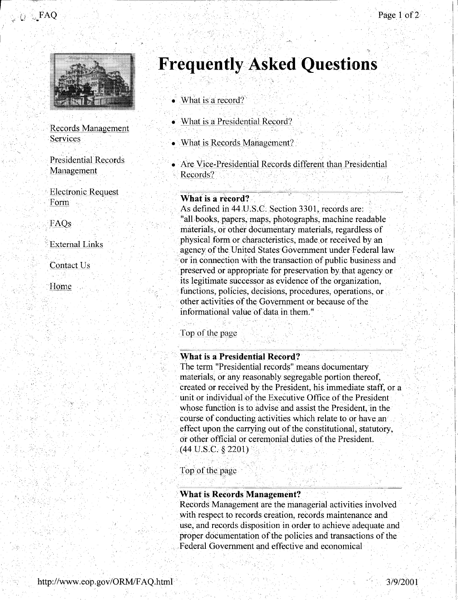



**Records Management** Services

**Presidential Records** Management

**Electronic Request** Form

FAOs

**External Links** 

Contact Us

Home

## **Frequently Asked Questions**

- $\bullet$  What is a record?
- What is a Presidential Record?
- What is Records Management?
- Are Vice-Presidential Records different than Presidential Records?

#### What is a record?

As defined in 44 U.S.C. Section 3301, records are: "all books, papers, maps, photographs, machine readable materials, or other documentary materials, regardless of physical form or characteristics, made or received by an agency of the United States Government under Federal law or in connection with the transaction of public business and preserved or appropriate for preservation by that agency or its legitimate successor as evidence of the organization, functions, policies, decisions, procedures, operations, or other activities of the Government or because of the informational value of data in them."

Top of the page

#### **What is a Presidential Record?**

The term "Presidential records" means documentary materials, or any reasonably segregable portion thereof, created or received by the President, his immediate staff, or a unit or individual of the Executive Office of the President whose function is to advise and assist the President, in the course of conducting activities which relate to or have an effect upon the carrying out of the constitutional, statutory, or other official or ceremonial duties of the President.  $(44 \text{ U.S.C. }$  \$ 2201)

Top of the page

#### What is Records Management?

Records Management are the managerial activities involved with respect to records creation, records maintenance and use, and records disposition in order to achieve adequate and proper documentation of the policies and transactions of the Federal Government and effective and economical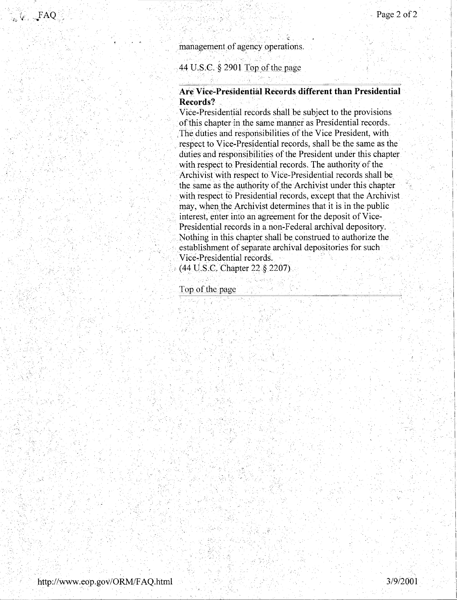$\mathbf{I}$ i

#### management of agency operations.

#### 44 U.S.C.  $\frac{2901}{\pi}$  Top of the page

#### **Are Vice-Presidential Records different than Presidential Records?**

. Vice-Presidential records shall be subject to the provisions of this chapter in the same manner as Presidential records. ,The duties and responsibilities of the Vice President, with respect to Vice-Presidential records, shall be the same as the duties and responsibilities of the President under this chapter with respect to Presidential records. The authority of the Archivist with respect to Vice-Presidential records shall be the same as the authority of the Archivist under this chapter with respect fo Presidential records, except that the Archivist. may, when the Archivist determines that it is in the public interest, enter into an agreement for the deposit of Vice-Presidential records in a non-Federal archival depository. Nothing in this chapter shall be construed to authorize the establishment of separate archival depositories for such Vice-Presidential records.

*:* ( 44 l].S.C Chapter 22 § 2207)

Top of the page

·., ..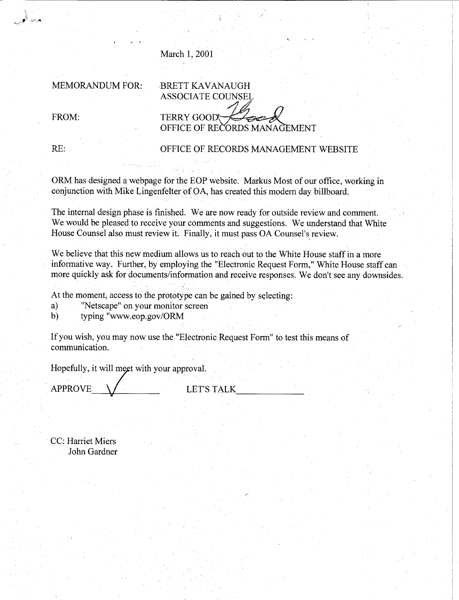#### March 1, 2001

MEMORANDUM FOR: BRETT KAVANAUGH

ASSOCIATE COUNSEL

FROM:

**TERRY GOOD** OFFICE OF RECORDS MANAGEMENT

\ 1~· •ુ<sup>ં,</sup> જ્∼ા

#### RE: OFFICE OF RECORDS MANAGEMENT WEBSITE

ORM has designed a webpage for the EOP website. Markus Most of our office, working in conjunction with Mike Lingenfelter of OA, has created this modern day billboard.

The internal design phase is finished. We are now ready for outside review and comment. We would be pleased to receive your comments and suggestions. We understand that White House Counsel also must review it. Finally, it must pass OA Counsel's review.

We believe that this new medium allows us to reach out to the White House staff in a more informative way. Further, by employing the "Electronic Request Form," White House staff can more quickly ask for documents/information and receive responses. We don't see any downsides.

At the moment, access to the prototype can be gained by selecting:

a) "Netscape" on your monitor screen

b) typing "www.eop.gov/ORM

If you wish, you may now use the "Electronic Request Form" to test thismeans of communication.

Hopefully, it will meet with your approval.

APPROVE \/ LET'S TALK

CC: Harriet Miers John Gardner